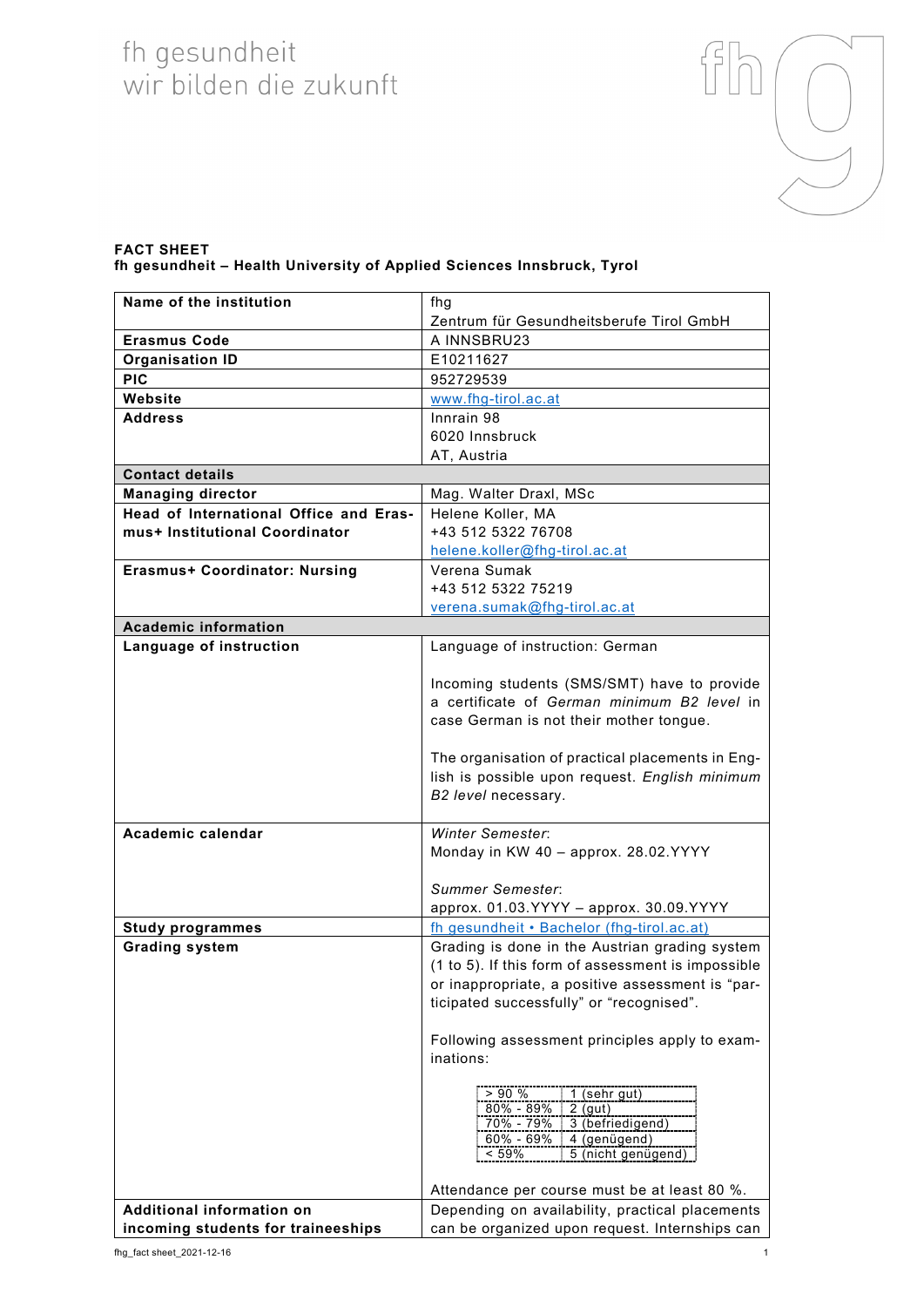## fh gesundheit<br>wir bilden die zukunft



## **FACT SHEET fh gesundheit – Health University of Applied Sciences Innsbruck, Tyrol**

| Name of the institution                | fhg                                                         |
|----------------------------------------|-------------------------------------------------------------|
|                                        | Zentrum für Gesundheitsberufe Tirol GmbH                    |
| <b>Erasmus Code</b>                    | A INNSBRU23                                                 |
| <b>Organisation ID</b>                 | E10211627                                                   |
| <b>PIC</b>                             | 952729539                                                   |
| Website                                | www.fhg-tirol.ac.at                                         |
| <b>Address</b>                         | Innrain 98                                                  |
|                                        | 6020 Innsbruck                                              |
|                                        | AT, Austria                                                 |
| <b>Contact details</b>                 |                                                             |
| <b>Managing director</b>               | Mag. Walter Draxl, MSc                                      |
| Head of International Office and Eras- | Helene Koller, MA                                           |
| mus+ Institutional Coordinator         | +43 512 5322 76708                                          |
|                                        | helene.koller@fhg-tirol.ac.at                               |
| <b>Erasmus+ Coordinator: Nursing</b>   | Verena Sumak                                                |
|                                        | +43 512 5322 75219                                          |
|                                        | verena.sumak@fhg-tirol.ac.at                                |
| <b>Academic information</b>            |                                                             |
| Language of instruction                | Language of instruction: German                             |
|                                        |                                                             |
|                                        | Incoming students (SMS/SMT) have to provide                 |
|                                        | a certificate of German minimum B2 level in                 |
|                                        | case German is not their mother tongue.                     |
|                                        |                                                             |
|                                        | The organisation of practical placements in Eng-            |
|                                        | lish is possible upon request. English minimum              |
|                                        | B2 level necessary.                                         |
| Academic calendar                      | <b>Winter Semester:</b>                                     |
|                                        | Monday in KW 40 - approx. 28.02.YYYY                        |
|                                        |                                                             |
|                                        | Summer Semester:                                            |
|                                        | approx. 01.03. YYYY - approx. 30.09. YYYY                   |
| <b>Study programmes</b>                | fh gesundheit • Bachelor (fhg-tirol.ac.at)                  |
| <b>Grading system</b>                  | Grading is done in the Austrian grading system              |
|                                        | (1 to 5). If this form of assessment is impossible          |
|                                        | or inappropriate, a positive assessment is "par-            |
|                                        | ticipated successfully" or "recognised".                    |
|                                        |                                                             |
|                                        | Following assessment principles apply to exam-              |
|                                        | inations:                                                   |
|                                        |                                                             |
|                                        | $1$ (sehr gut)<br>>90%                                      |
|                                        | $80\% - 89\%$<br>$2$ (gut)<br>3 (befriedigend)<br>70% - 79% |
|                                        | 4 (genügend)<br>$60\% - 69\%$                               |
|                                        | 5 (nicht genügend)<br>< 59%                                 |
|                                        |                                                             |
|                                        | Attendance per course must be at least 80 %.                |
| Additional information on              | Depending on availability, practical placements             |
| incoming students for traineeships     | can be organized upon request. Internships can              |